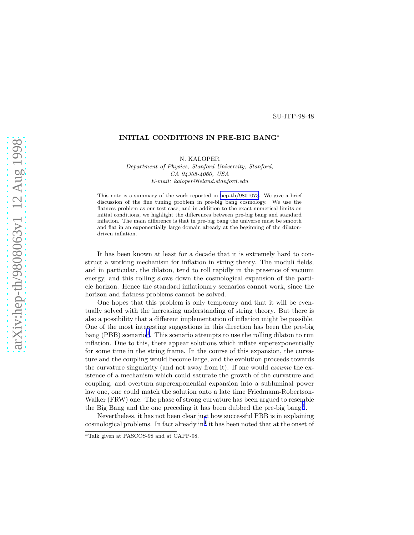## SU-ITP-98-48

## INITIAL CONDITIONS IN PRE-BIG BANG<sup>a</sup>

N. KALOPER

*Department of Physics, Stanford University, Stanford, CA 94305-4060, USA E-mail: kaloper@leland.stanford.edu*

This note is a summary of the work reported in [hep-th/9801073](http://arxiv.org/abs/hep-th/9801073). We give a brief discussion of the fine tuning problem in pre-big bang cosmology. We use the flatness problem as our test case, and in addition to the exact numerical limits on initial conditions, we highlight the differences between pre-big bang and standard inflation. The main difference is that in pre-big bang the universe must be smooth and flat in an exponentially large domain already at the beginning of the dilatondriven inflation.

It has been known at least for a decade that it is extremely hard to construct a working mechanism for inflation in string theory. The moduli fields, and in particular, the dilaton, tend to roll rapidly in the presence of vacuum energy, and this rolling slows down the cosmological expansion of the particle horizon. Hence the standard inflationary scenarios cannot work, since the horizon and flatness problems cannot be solved.

One hopes that this problem is only temporary and that it will be eventually solved with the increasing understanding of string theory. But there is also a possibility that a different implementation of inflation might be possible. One of the most interesting suggestions in this direction has been the pre-big bang (PBB) scenario<sup>[1](#page-4-0)</sup>. This scenario attempts to use the rolling dilaton to run inflation. Due to this, there appear solutions which inflate superexponentially for some time in the string frame. In the course of this expansion, the curvature and the coupling would become large, and the evolution proceeds towards the curvature singularity (and not away from it). If one would assume the existence of a mechanism which could saturate the growth of the curvature and coupling, and overturn superexponential expansion into a subluminal power law one, one could match the solution onto a late time Friedmann-Robertson-Walker (FRW) one. The phase of strong curvature has been argued to resemble the Big Bang and the one preceding it has been dubbed the pre-big bang<sup>[1](#page-4-0)</sup>.

Nevertheless, it has not been clear just how successful PBB is in explaining  $\alpha$ cosmological problems. In fact already in<sup>[1](#page-4-0)</sup> it has been noted that at the onset of

<sup>a</sup>Talk given at PASCOS-98 and at CAPP-98.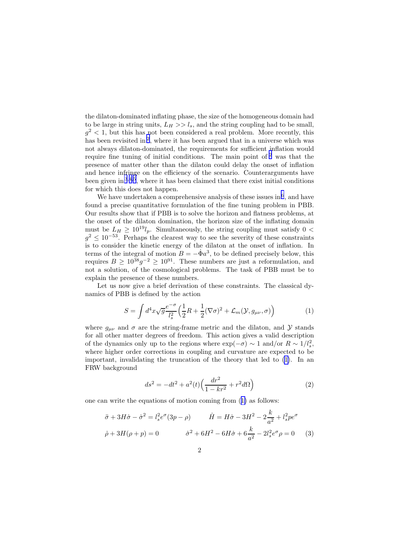<span id="page-1-0"></span>the dilaton-dominated inflating phase, the size of the homogeneous domain had to be large in string units,  $L_H >> l_s$ , and the string coupling had to be small,  $g^2$  < 1, but this has not been considered a real problem. More recently, this has been revisited in<sup>[2](#page-4-0)</sup>, where it has been argued that in a universe which was not always dilaton-dominated, the requirements for sufficient inflation would require fine tuning of initial conditions. The main point of  $2$  was that the presence of matter other than the dilaton could delay the onset of inflation and hence infringe on the efficiency of the scenario. Counterarguments have been given in <sup>[3](#page-4-0),[4](#page-4-0),[5](#page-4-0)</sup>, where it has been claimed that there exist initial conditions for which this does not happen.

We have undertaken a comprehensive analysis of these issues in  $6$ , and have found a precise quantitative formulation of the fine tuning problem in PBB. Our results show that if PBB is to solve the horizon and flatness problems, at the onset of the dilaton domination, the horizon size of the inflating domain must be  $L_H \geq 10^{19}l_p$ . Simultaneously, the string coupling must satisfy 0 <  $g^2 \leq 10^{-53}$ . Perhaps the clearest way to see the severity of these constraints is to consider the kinetic energy of the dilaton at the onset of inflation. In terms of the integral of motion  $B = -\dot{\Phi}a^3$ , to be defined precisely below, this requires  $B \ge 10^{38} g^{-2} \ge 10^{91}$ . These numbers are just a reformulation, and not a solution, of the cosmological problems. The task of PBB must be to explain the presence of these numbers.

Let us now give a brief derivation of these constraints. The classical dynamics of PBB is defined by the action

$$
S = \int d^4x \sqrt{g} \frac{e^{-\sigma}}{l_s^2} \left(\frac{1}{2}R + \frac{1}{2}(\nabla\sigma)^2 + \mathcal{L}_m(\mathcal{Y}, g_{\mu\nu}, \sigma)\right) \tag{1}
$$

where  $g_{\mu\nu}$  and  $\sigma$  are the string-frame metric and the dilaton, and Y stands for all other matter degrees of freedom. This action gives a valid description of the dynamics only up to the regions where  $\exp(-\sigma) \sim 1$  and/or  $R \sim 1/l_s^2$ , where higher order corrections in coupling and curvature are expected to be important, invalidating the truncation of the theory that led to (1). In an FRW background

$$
ds^{2} = -dt^{2} + a^{2}(t)\left(\frac{dr^{2}}{1 - kr^{2}} + r^{2}d\Omega\right)
$$
 (2)

one can write the equations of motion coming from (1) as follows:

$$
\ddot{\sigma} + 3H\dot{\sigma} - \dot{\sigma}^2 = l_s^2 e^{\sigma} (3p - \rho) \qquad \dot{H} = H\dot{\sigma} - 3H^2 - 2\frac{k}{a^2} + l_s^2 p e^{\sigma}
$$

$$
\dot{\rho} + 3H(\rho + p) = 0 \qquad \dot{\sigma}^2 + 6H^2 - 6H\dot{\sigma} + 6\frac{k}{a^2} - 2l_s^2 e^{\sigma} \rho = 0 \qquad (3)
$$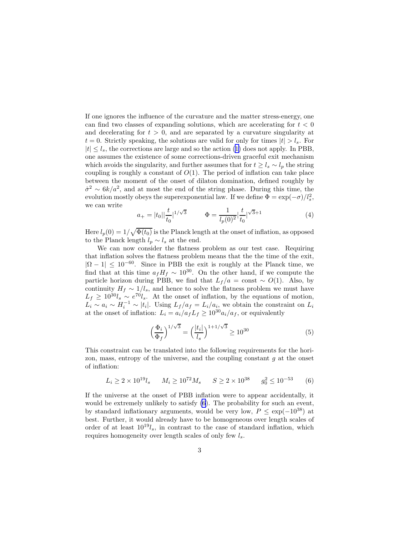If one ignores the influence of the curvature and the matter stress-energy, one can find two classes of expanding solutions, which are accelerating for  $t < 0$ and decelerating for  $t > 0$ , and are separated by a curvature singularity at  $t = 0$ . Strictly speaking, the solutions are valid for only for times  $|t| > l_s$ . For  $|t| \leq l_s$  $|t| \leq l_s$  $|t| \leq l_s$ , the corrections are large and so the action ([1\)](#page-1-0) does not apply. In PBB, one assumes the existence of some corrections-driven graceful exit mechanism which avoids the singularity, and further assumes that for  $t \geq l_s \sim l_p$  the string coupling is roughly a constant of  $O(1)$ . The period of inflation can take place between the moment of the onset of dilaton domination, defined roughly by  $\dot{\sigma}^2 \sim 6k/a^2$ , and at most the end of the string phase. During this time, the evolution mostly obeys the superexponential law. If we define  $\Phi = \exp(-\sigma)/l_s^2$ , we can write

$$
a_{+} = |t_{0}| \left| \frac{t}{t_{0}} \right|^{1/\sqrt{3}} \qquad \Phi = \frac{1}{l_{p}(0)^{2}} \left| \frac{t}{t_{0}} \right|^{1/\sqrt{3}+1} \tag{4}
$$

Here  $l_p(0) = 1/\sqrt{\Phi(t_0)}$  is the Planck length at the onset of inflation, as opposed to the Planck length  $l_p \sim l_s$  at the end.

We can now consider the flatness problem as our test case. Requiring that inflation solves the flatness problem means that the the time of the exit,  $|\Omega - 1| \leq 10^{-60}$ . Since in PBB the exit is roughly at the Planck time, we find that at this time  $a_f H_f \sim 10^{30}$ . On the other hand, if we compute the particle horizon during PBB, we find that  $L_f / a = \text{const} \sim O(1)$ . Also, by continuity  $H_f \sim 1/l_s$ , and hence to solve the flatness problem we must have  $L_f \geq 10^{30} l_s \sim e^{70} l_s$ . At the onset of inflation, by the equations of motion,  $L_i \sim a_i \sim H_i^{-1} \sim |t_i|$ . Using  $L_f/a_f = L_i/a_i$ , we obtain the constraint on  $L_i$ at the onset of inflation:  $L_i = a_i/a_f L_f \geq 10^{30} a_i/a_f$ , or equivalently

$$
\left(\frac{\Phi_i}{\Phi_f}\right)^{1/\sqrt{3}} = \left(\frac{|t_i|}{l_s}\right)^{1+1/\sqrt{3}} \ge 10^{30} \tag{5}
$$

This constraint can be translated into the following requirements for the horizon, mass, entropy of the universe, and the coupling constant  $g$  at the onset of inflation:

$$
L_i \ge 2 \times 10^{19} l_s \qquad M_i \ge 10^{72} M_s \qquad S \ge 2 \times 10^{38} \qquad g_0^2 \le 10^{-53} \qquad (6)
$$

If the universe at the onset of PBB inflation were to appear accidentally, it would be extremely unlikely to satisfy (6). The probability for such an event, by standard inflationary arguments, would be very low,  $P \leq \exp(-10^{38})$  at best. Further, it would already have to be homogeneous over length scales of order of at least  $10^{19}l_s$ , in contrast to the case of standard inflation, which requires homogeneity over length scales of only few  $l_s$ .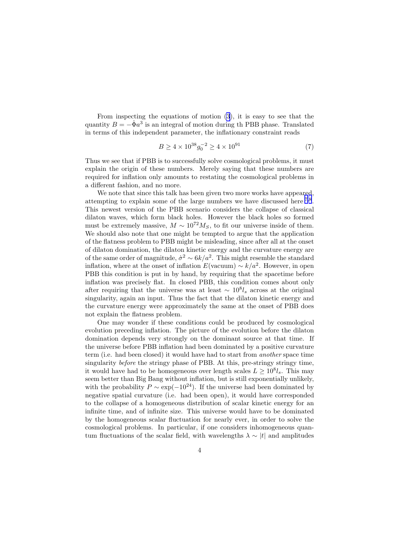From inspecting the equations of motion [\(3](#page-1-0)), it is easy to see that the quantity  $B = -\dot{\Phi}a^3$  is an integral of motion during th PBB phase. Translated in terms of this independent parameter, the inflationary constraint reads

$$
B \ge 4 \times 10^{38} g_0^{-2} \ge 4 \times 10^{91} \tag{7}
$$

Thus we see that if PBB is to successfully solve cosmological problems, it must explain the origin of these numbers. Merely saying that these numbers are required for inflation only amounts to restating the cosmological problems in a different fashion, and no more.

We note that since this talk has been given two more works have appeared, attempting to explain some of the large numbers we have discussed here  $^{7,8}$  $^{7,8}$  $^{7,8}$  $^{7,8}$  $^{7,8}$ . This newest version of the PBB scenario considers the collapse of classical dilaton waves, which form black holes. However the black holes so formed must be extremely massive,  $M \sim 10^{72} M_S$ , to fit our universe inside of them. We should also note that one might be tempted to argue that the application of the flatness problem to PBB might be misleading, since after all at the onset of dilaton domination, the dilaton kinetic energy and the curvature energy are of the same order of magnitude,  $\dot{\sigma}^2 \sim 6k/a^2$ . This might resemble the standard inflation, where at the onset of inflation  $E(\text{vacuum}) \sim k/a^2$ . However, in open PBB this condition is put in by hand, by requiring that the spacetime before inflation was precisely flat. In closed PBB, this condition comes about only after requiring that the universe was at least  $\sim 10^{8}l_s$  across at the original singularity, again an input. Thus the fact that the dilaton kinetic energy and the curvature energy were approximately the same at the onset of PBB does not explain the flatness problem.

One may wonder if these conditions could be produced by cosmological evolution preceding inflation. The picture of the evolution before the dilaton domination depends very strongly on the dominant source at that time. If the universe before PBB inflation had been dominated by a positive curvature term (i.e. had been closed) it would have had to start from another space time singularity before the stringy phase of PBB. At this, pre-stringy stringy time, it would have had to be homogeneous over length scales  $L \geq 10^8 l_s$ . This may seem better than Big Bang without inflation, but is still exponentially unlikely, with the probability  $P \sim \exp(-10^{24})$ . If the universe had been dominated by negative spatial curvature (i.e. had been open), it would have corresponded to the collapse of a homogeneous distribution of scalar kinetic energy for an infinite time, and of infinite size. This universe would have to be dominated by the homogeneous scalar fluctuation for nearly ever, in order to solve the cosmological problems. In particular, if one considers inhomogeneous quantum fluctuations of the scalar field, with wavelengths  $\lambda \sim |t|$  and amplitudes